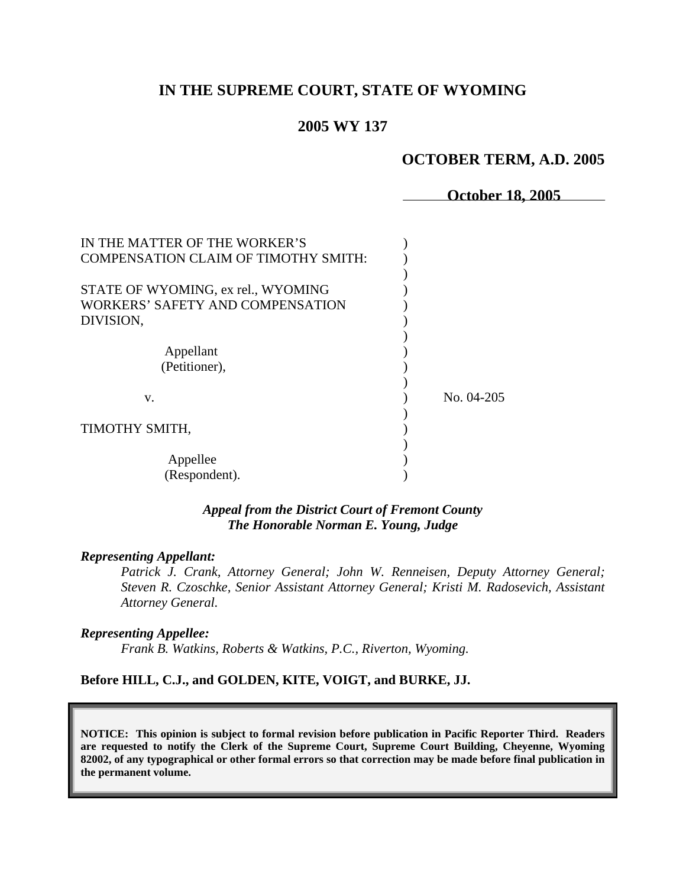# **IN THE SUPREME COURT, STATE OF WYOMING**

## **2005 WY 137**

### **OCTOBER TERM, A.D. 2005**

**October 18, 2005** 

| IN THE MATTER OF THE WORKER'S               |              |
|---------------------------------------------|--------------|
| <b>COMPENSATION CLAIM OF TIMOTHY SMITH:</b> |              |
|                                             |              |
| STATE OF WYOMING, ex rel., WYOMING          |              |
| WORKERS' SAFETY AND COMPENSATION            |              |
| DIVISION,                                   |              |
|                                             |              |
| Appellant                                   |              |
| (Petitioner),                               |              |
|                                             |              |
| V.                                          | No. $04-205$ |
|                                             |              |
| TIMOTHY SMITH,                              |              |
|                                             |              |
| Appellee                                    |              |
| (Respondent).                               |              |

### *Appeal from the District Court of Fremont County The Honorable Norman E. Young, Judge*

#### *Representing Appellant:*

*Patrick J. Crank, Attorney General; John W. Renneisen, Deputy Attorney General; Steven R. Czoschke, Senior Assistant Attorney General; Kristi M. Radosevich, Assistant Attorney General.* 

#### *Representing Appellee:*

*Frank B. Watkins, Roberts & Watkins, P.C., Riverton, Wyoming.* 

### **Before HILL, C.J., and GOLDEN, KITE, VOIGT, and BURKE, JJ.**

**NOTICE: This opinion is subject to formal revision before publication in Pacific Reporter Third. Readers are requested to notify the Clerk of the Supreme Court, Supreme Court Building, Cheyenne, Wyoming 82002, of any typographical or other formal errors so that correction may be made before final publication in the permanent volume.**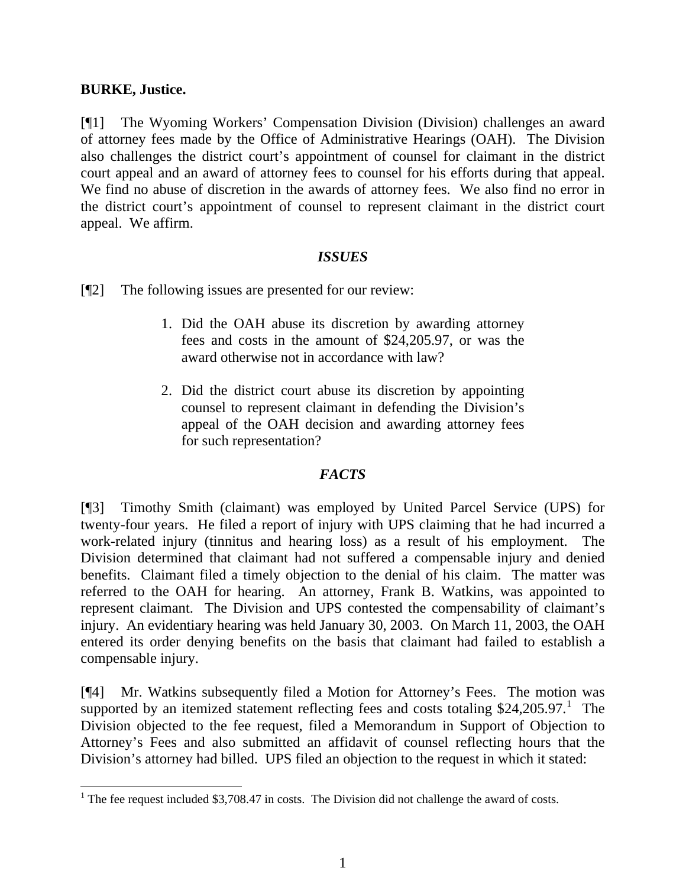## **BURKE, Justice.**

 $\overline{a}$ 

[¶1] The Wyoming Workers' Compensation Division (Division) challenges an award of attorney fees made by the Office of Administrative Hearings (OAH). The Division also challenges the district court's appointment of counsel for claimant in the district court appeal and an award of attorney fees to counsel for his efforts during that appeal. We find no abuse of discretion in the awards of attorney fees. We also find no error in the district court's appointment of counsel to represent claimant in the district court appeal. We affirm.

# *ISSUES*

[¶2] The following issues are presented for our review:

- 1. Did the OAH abuse its discretion by awarding attorney fees and costs in the amount of \$24,205.97, or was the award otherwise not in accordance with law?
- 2. Did the district court abuse its discretion by appointing counsel to represent claimant in defending the Division's appeal of the OAH decision and awarding attorney fees for such representation?

# *FACTS*

[¶3] Timothy Smith (claimant) was employed by United Parcel Service (UPS) for twenty-four years. He filed a report of injury with UPS claiming that he had incurred a work-related injury (tinnitus and hearing loss) as a result of his employment. The Division determined that claimant had not suffered a compensable injury and denied benefits. Claimant filed a timely objection to the denial of his claim. The matter was referred to the OAH for hearing. An attorney, Frank B. Watkins, was appointed to represent claimant. The Division and UPS contested the compensability of claimant's injury. An evidentiary hearing was held January 30, 2003. On March 11, 2003, the OAH entered its order denying benefits on the basis that claimant had failed to establish a compensable injury.

[¶4] Mr. Watkins subsequently filed a Motion for Attorney's Fees. The motion was supported by an itemized statement reflecting fees and costs totaling  $$24,205.97$ .<sup>1</sup> The Division objected to the fee request, filed a Memorandum in Support of Objection to Attorney's Fees and also submitted an affidavit of counsel reflecting hours that the Division's attorney had billed. UPS filed an objection to the request in which it stated:

<sup>&</sup>lt;sup>1</sup> The fee request included \$3,708.47 in costs. The Division did not challenge the award of costs.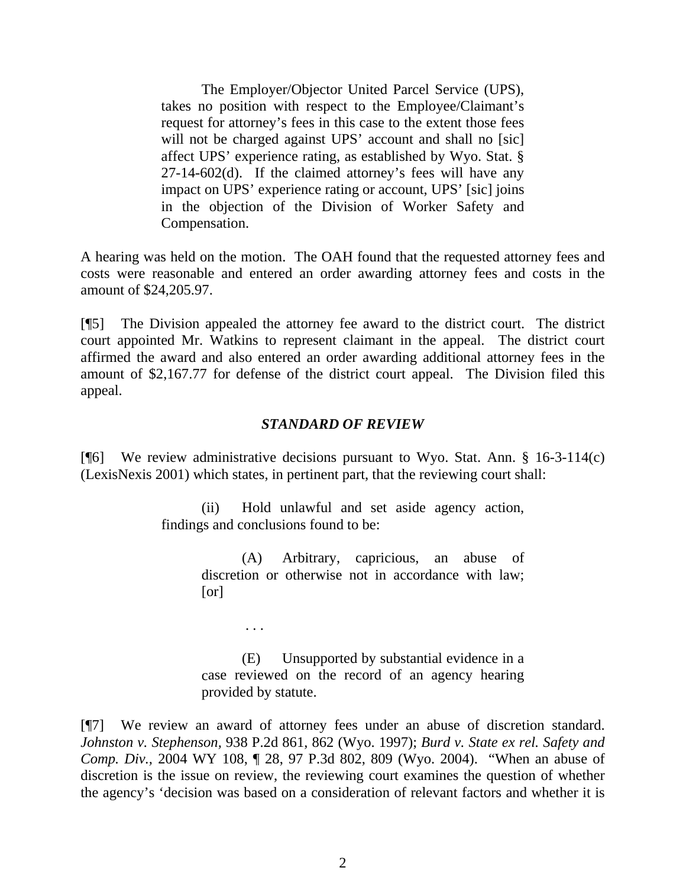The Employer/Objector United Parcel Service (UPS), takes no position with respect to the Employee/Claimant's reques t for attorney's fees in this case to the extent those fees will not be charged against UPS' account and shall no [sic] affect UPS' experience rating, as established by Wyo. Stat. § 27-14-602(d). If the claimed attorney's fees will have any impact on UPS' experience rating or account, UPS' [sic] joins in the objection of the Division of Worker Safety and Compensation.

A hearing was held on the motion. The OAH found that the requested attorney fees and costs were reasonable and entered an order awarding attorney fees and costs in the amount of \$24,205.97.

[¶5] The Division appealed the attorney fee award to the district court. The district court appointed Mr. Watkins to represent claimant in the appeal. The district court affirmed the award and also entered an order awarding additional attorney fees in the amount of \$2,167.77 for defense of the district court appeal. The Division filed this appeal.

## *STANDARD OF REVIEW*

[ $[$ [6] We review administrative decisions pursuant to Wyo. Stat. Ann. § 16-3-114 $(c)$ ] (LexisNexis 2001) which states, in pertinent part, that the reviewing court shall:

> findings and conclusions found to be: (ii) Hold unlawful and set aside agency action,

> > . . .

(A) Arbitrary, capricious, an abuse of discretion or otherwise not in accordance with law; [or]

Unsupported by substantial evidence in a case reviewed on the record of an agency hearing provided by statute. (E)

[¶7] We review an award of attorney fees under an abuse of discretion standard. *ohnston v. Stephenson,* 938 P.2d 861, 862 (Wyo. 1997); *Burd v. State ex rel. Safety and J Comp. Div.,* 2004 WY 108, ¶ 28, 97 P.3d 802, 809 (Wyo. 2004). "When an abuse of discretion is the issue on review, the reviewing court examines the question of whether the agency's 'decision was based on a consideration of relevant factors and whether it is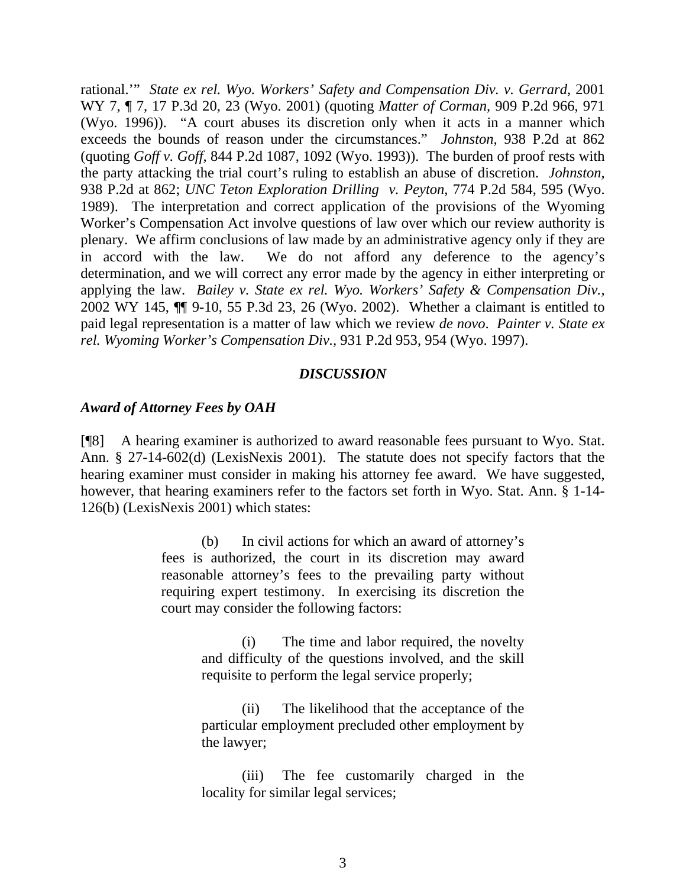rational."" *State ex rel. Wyo. Workers' Safety and Compensation Div. v. Gerrard, 2001* WY 7, ¶ 7, 17 P.3d 20, 23 (Wyo. 2001) (quoting *Matter of Corman,* 909 P.2d 966, 971 (Wyo. 1996)). "A court abuses its discretion only when it acts in a manner which exceeds the bounds of reason under the circumstances." *Johnston,* 938 P.2d at 862 (quoting *Goff v. Goff,* 844 P.2d 1087, 1092 (Wyo. 1993)). The burden of proof rests with the party attacking the trial court's ruling to establish an abuse of discretion. *Johnston,*  938 P.2d at 862; *UNC Teton Exploration Drilling v. Peyton*, 774 P.2d 584, 595 (Wyo. 1989). The interpretation and correct application of the provisions of the Wyoming Worker's Compensation Act involve questions of law over which our review authority is plenary. We affirm conclusions of law made by an administrative agency only if they are in accord with the law. We do not afford any deference to the agency's determination, and we will correct any error made by the agency in either interpreting or applying the law. *Bailey v. State ex rel. Wyo. Workers' Safety & Compensation Div.,*  2002 WY 145, ¶¶ 9-10, 55 P.3d 23, 26 (Wyo. 2002). Whether a claimant is entitled to paid legal representation is a matter of law which we review *de novo*. *Painter v. State ex rel. Wyoming Worker's Compensation Div.,* 931 P.2d 953, 954 (Wyo. 1997).

## *DISCUSSION*

## *Award of Attorney Fees by OAH*

[¶8] A hearing examiner is authorized to award reasonable fees pursuant to Wyo. Stat. Ann.  $\S 27-14-602(d)$  (LexisNexis 2001). The statute does not specify factors that the hearing examiner must consider in making his attorney fee award. We have suggested, however, that hearing examiners refer to the factors set forth in Wyo. Stat. Ann. § 1-14- 126(b) (LexisNexis 2001) which states:

> (b) In civil actions for which an award of attorney's fees is authorized, the court in its discretion may award reasonable attorney's fees to the prevailing party without requiring expert testimony. In exercising its discretion the court may consider the following factors:

> > $(i)$  The time and labor required, the novelty and difficulty of the questions involved, and the skill requisite to perform the legal service properly;

> > (ii) The likelihood that the acceptance of the particular employment precluded other employment by the law yer;

> > The fee customarily charged in the locality for similar legal services; (iii)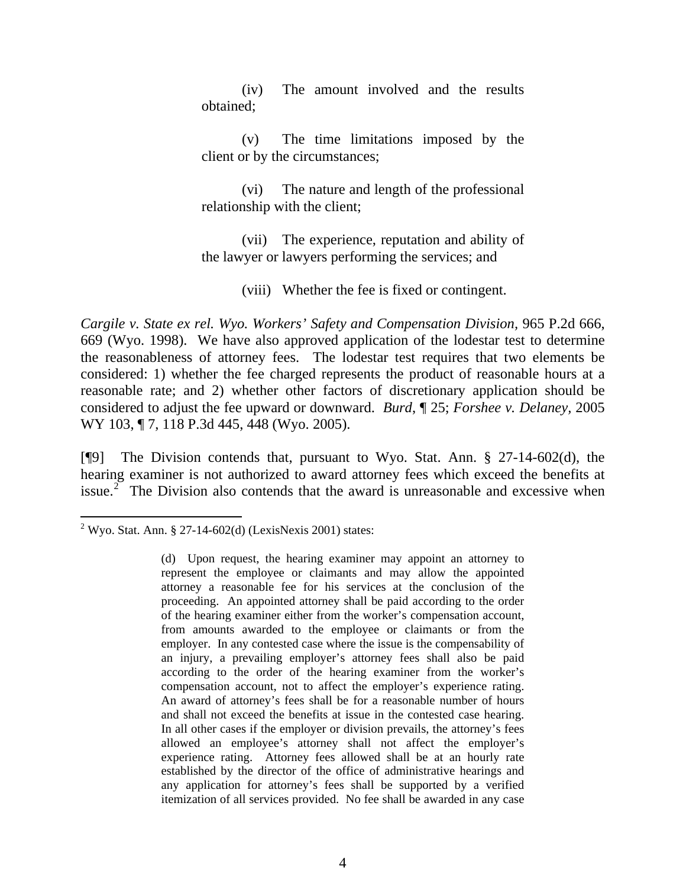(iv) The amount involved and the results obtained;

(v) The time limitations imposed by the client or by the circumstances;

(vi) The nature and length of the professional relationship with the client;

(vii) The experience, reputation and ability of the lawyer or lawyers performing the services; and

. (viii) Whether the fee is fixed or contingent

*Cargile v. State ex rel. Wyo. Workers' Safety and Compensation Division, 965 P.2d 666,* 69 (Wyo. 1998). We have also approved application of the lodestar test to determine 6 the reasonableness of attorney fees. The lodestar test requires that two elements be considered: 1) whether the fee charged represents the product of reasonable hours at a reasonable rate; and 2) whether other factors of discretionary application should be considered to adjust the fee upward or downward. *Burd*, ¶ 25; *Forshee v. Delaney,* 2005 WY 103, ¶ 7, 118 P.3d 445, 448 (Wyo. 2005).

[¶9] The Division contends that, pursuant to Wyo. Stat. Ann. § 27-14-602(d), the hearing examiner is not authorized to award attorney fees which exceed the benefits at issue. $2^{\degree}$  The Division also contends that the award is unreasonable and excessive when

 $\overline{a}$ <sup>2</sup> Wyo. Stat. Ann. § 27-14-602(d) (LexisNexis 2001) states:

<sup>(</sup>d) Upon request, the hearing examiner may appoint an attorney to represent the employee or claimants and may allow the appointed attorney a reasonable fee for his services at the conclusion of the proceeding. An appointed attorney shall be paid according to the order of the hearing examiner either from the worker's compensation account, from amounts awarded to the employee or claimants or from the employer. In any contested case where the issue is the compensability of an injury, a prevailing employer's attorney fees shall also be paid according to the order of the hearing examiner from the worker's compensation account, not to affect the employer's experience rating. An award of attorney's fees shall be for a reasonable number of hours and shall not exceed the benefits at issue in the contested case hearing. In all other cases if the employer or division prevails, the attorney's fees allowed an employee's attorney shall not affect the employer's experience rating. Attorney fees allowed shall be at an hourly rate established by the director of the office of administrative hearings and any application for attorney's fees shall be supported by a verified itemization of all services provided. No fee shall be awarded in any case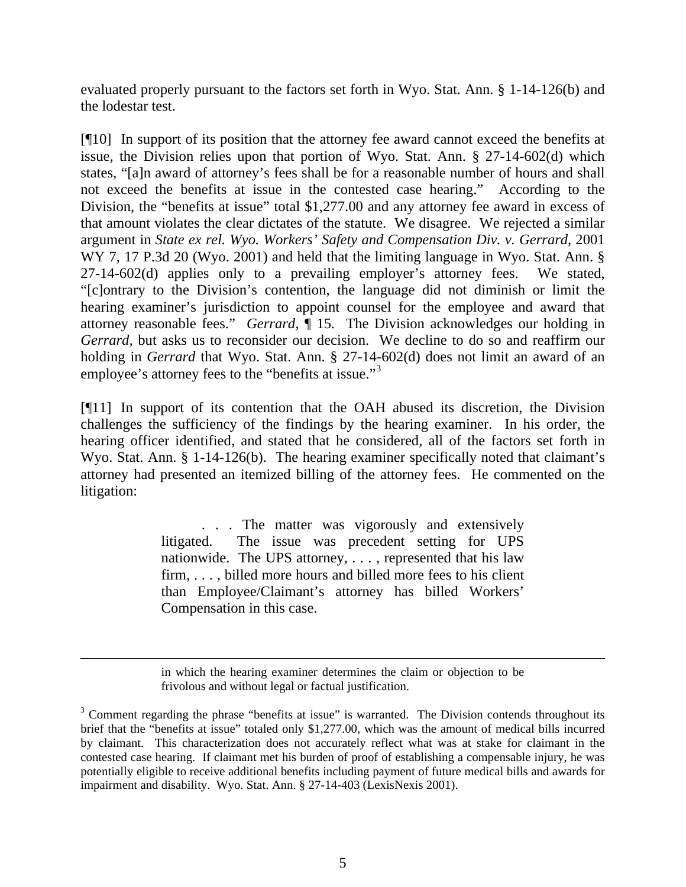evaluated properly pursuant to the factors set forth in Wyo. Stat. Ann. § 1-14-126(b) and the lodestar test.

[¶10] In support of its position that the attorney fee award cannot exceed the benefits at issue, the Division relies upon that portion of Wyo. Stat. Ann. § 27-14-602(d) which states, "[a]n award of attorney's fees shall be for a reasonable number of hours and shall not exceed the benefits at issue in the contested case hearing." According to the Division, the "benefits at issue" total \$1,277.00 and any attorney fee award in excess of that amount violates the clear dictates of the statute. We disagree. We rejected a similar argument in *State ex rel. Wyo. Workers' Safety and Compensation Div. v. Gerrard,* 2001 WY 7, 17 P.3d 20 (Wyo. 2001) and held that the limiting language in Wyo. Stat. Ann. § 27-14-602(d) applies only to a prevailing employer's attorney fees. We stated, "[c]ontrary to the Division's contention, the language did not diminish or limit the hearing examiner's jurisdiction to appoint counsel for the employee and award that attorney reasonable fees." *Gerrard,* ¶ 15*.* The Division acknowledges our holding in *Gerrard,* but asks us to reconsider our decision. We decline to do so and reaffirm our holding in *Gerrard* that Wyo. Stat. Ann. § 27-14-602(d) does not limit an award of an employee's attorney fees to the "benefits at issue."<sup>[3](#page-5-0)</sup>

[¶11] In support of its contention that the OAH abused its discretion, the Division challenges the sufficiency of the findings by the hearing examiner. In his order, the hearing officer identified, and stated that he considered, all of the factors set forth in Wyo. Stat. Ann. § 1-14-126(b). The hearing examiner specifically noted that claimant's attorney had presented an itemized billing of the attorney fees. He commented on the litigation:

> . . . The matter was vigorously and extensively litigated. The issue was precedent setting for UPS nationwide. The UPS attorney, . . . , represented that his law firm, . . . , billed more hours and billed more fees to his client than Employee/Claimant's attorney has billed Workers' Compensation in this case.

> in which the hearing examiner determines the claim or objection to be frivolous and without legal or factual justification.

 $\overline{a}$ 

<span id="page-5-0"></span><sup>&</sup>lt;sup>3</sup> Comment regarding the phrase "benefits at issue" is warranted. The Division contends throughout its brief that the "benefits at issue" totaled only \$1,277.00, which was the amount of medical bills incurred by claimant. This characterization does not accurately reflect what was at stake for claimant in the contested case hearing. If claimant met his burden of proof of establishing a compensable injury, he was potentially eligible to receive additional benefits including payment of future medical bills and awards for impairment and disability. Wyo. Stat. Ann. § 27-14-403 (LexisNexis 2001).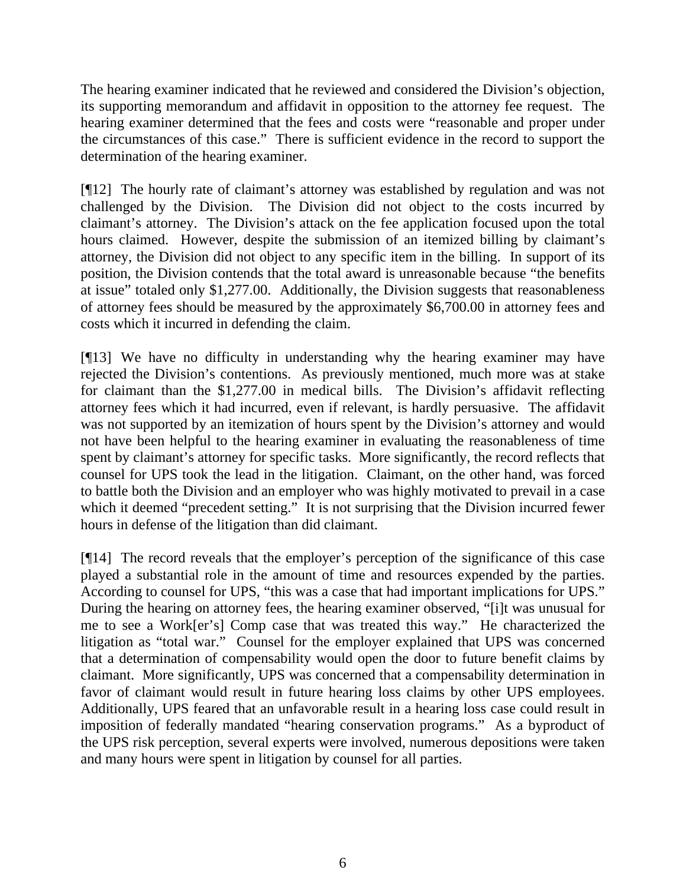The hearing examiner indicated that he reviewed and considered the Division's objection, its supporting memorandum and affidavit in opposition to the attorney fee request. The hearing examiner determined that the fees and costs were "reasonable and proper under the circumstances of this case." There is sufficient evidence in the record to support the determination of the hearing examiner.

[¶12] The hourly rate of claimant's attorney was established by regulation and was not challenged by the Division. The Division did not object to the costs incurred by claimant's attorney. The Division's attack on the fee application focused upon the total hours claimed. However, despite the submission of an itemized billing by claimant's attorney, the Division did not object to any specific item in the billing. In support of its position, the Division contends that the total award is unreasonable because "the benefits at issue" totaled only \$1,277.00. Additionally, the Division suggests that reasonableness of attorney fees should be measured by the approximately \$6,700.00 in attorney fees and costs which it incurred in defending the claim.

[¶13] We have no difficulty in understanding why the hearing examiner may have rejected the Division's contentions. As previously mentioned, much more was at stake for claimant than the \$1,277.00 in medical bills. The Division's affidavit reflecting attorney fees which it had incurred, even if relevant, is hardly persuasive. The affidavit was not supported by an itemization of hours spent by the Division's attorney and would not have been helpful to the hearing examiner in evaluating the reasonableness of time spent by claimant's attorney for specific tasks. More significantly, the record reflects that counsel for UPS took the lead in the litigation. Claimant, on the other hand, was forced to battle both the Division and an employer who was highly motivated to prevail in a case which it deemed "precedent setting." It is not surprising that the Division incurred fewer hours in defense of the litigation than did claimant.

14] The record reveals that the employer's perception of the significance of this case [¶ played a substantial role in the amount of time and resources expended by the parties. According to counsel for UPS, "this was a case that had important implications for UPS." During the hearing on attorney fees, the hearing examiner observed, "[i]t was unusual for me to see a Work[er's] Comp case that was treated this way." He characterized the litigation as "total war." Counsel for the employer explained that UPS was concerned that a determination of compensability would open the door to future benefit claims by claimant. More significantly, UPS was concerned that a compensability determination in favor of claimant would result in future hearing loss claims by other UPS employees. Additionally, UPS feared that an unfavorable result in a hearing loss case could result in imposition of federally mandated "hearing conservation programs." As a byproduct of the UPS risk perception, several experts were involved, numerous depositions were taken and many hours were spent in litigation by counsel for all parties.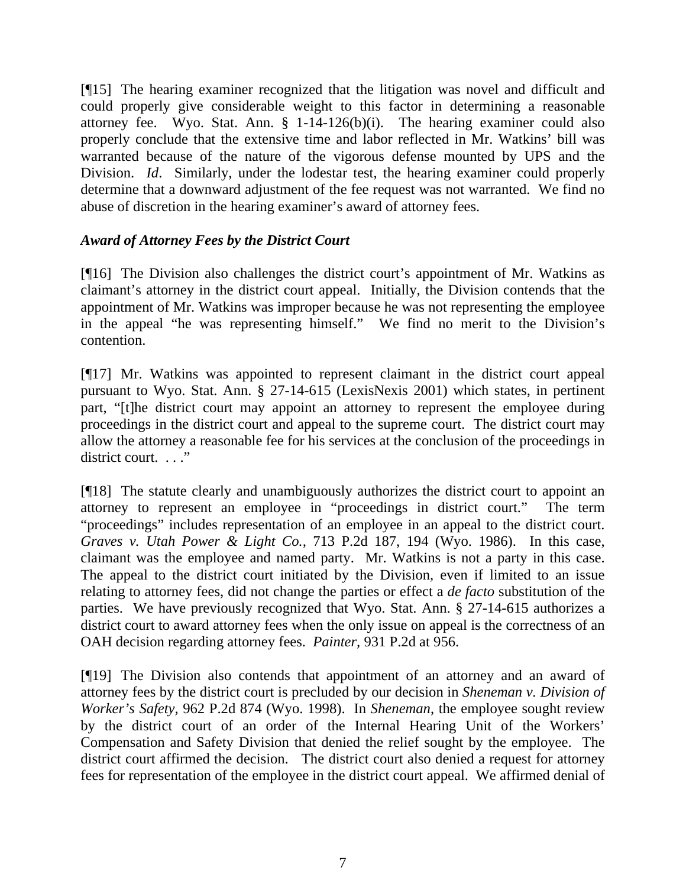[¶15] The hearing examiner recognized that the litigation was novel and difficult and could properly give considerable weight to this factor in determining a reasonable attorney fee. Wyo. Stat. Ann. § 1-14-126(b)(i). The hearing examiner could also properly conclude that the extensive time and labor reflected in Mr. Watkins' bill was warranted because of the nature of the vigorous defense mounted by UPS and the Division. *Id*. Similarly, under the lodestar test, the hearing examiner could properly determine that a downward adjustment of the fee request was not warranted. We find no abuse of discretion in the hearing examiner's award of attorney fees.

# *Award of Attorney Fees by the District Court*

[¶16] The Division also challenges the district court's appointment of Mr. Watkins as claimant's attorney in the district court appeal. Initially, the Division contends that the appointment of Mr. Watkins was improper because he was not representing the employee in the appeal "he was representing himself." We find no merit to the Division's contention.

[¶17] Mr. Watkins was appointed to represent claimant in the district court appeal pursuant to Wyo. Stat. Ann. § 27-14-615 (LexisNexis 2001) which states, in pertinent part, "[t]he district court may appoint an attorney to represent the employee during proceedings in the district court and appeal to the supreme court. The district court may allow the attorney a reasonable fee for his services at the conclusion of the proceedings in district court. . . ."

[¶18] The statute clearly and unambiguously authorizes the district court to appoint an attorney to represent an employee in "proceedings in district court." The term "proceedings" includes representation of an employee in an appeal to the district court. *Graves v. Utah Power & Light Co.,* 713 P.2d 187, 194 (Wyo. 1986). In this case, claimant was the employee and named party. Mr. Watkins is not a party in this case. The appeal to the district court initiated by the Division, even if limited to an issue relating to attorney fees, did not change the parties or effect a *de facto* substitution of the parties. We have previously recognized that Wyo. Stat. Ann. § 27-14-615 authorizes a district court to award attorney fees when the only issue on appeal is the correctness of an OAH decision regarding attorney fees. *Painter,* 931 P.2d at 956.

[¶19] The Division also contends that appointment of an attorney and an award of attorney fees by the district court is precluded by our decision in *Sheneman v. Division of Worker's Safety,* 962 P.2d 874 (Wyo. 1998). In *Sheneman*, the employee sought review by the district court of an order of the Internal Hearing Unit of the Workers' Compensation and Safety Division that denied the relief sought by the employee. The district court affirmed the decision. The district court also denied a request for attorney fees for representation of the employee in the district court appeal. We affirmed denial of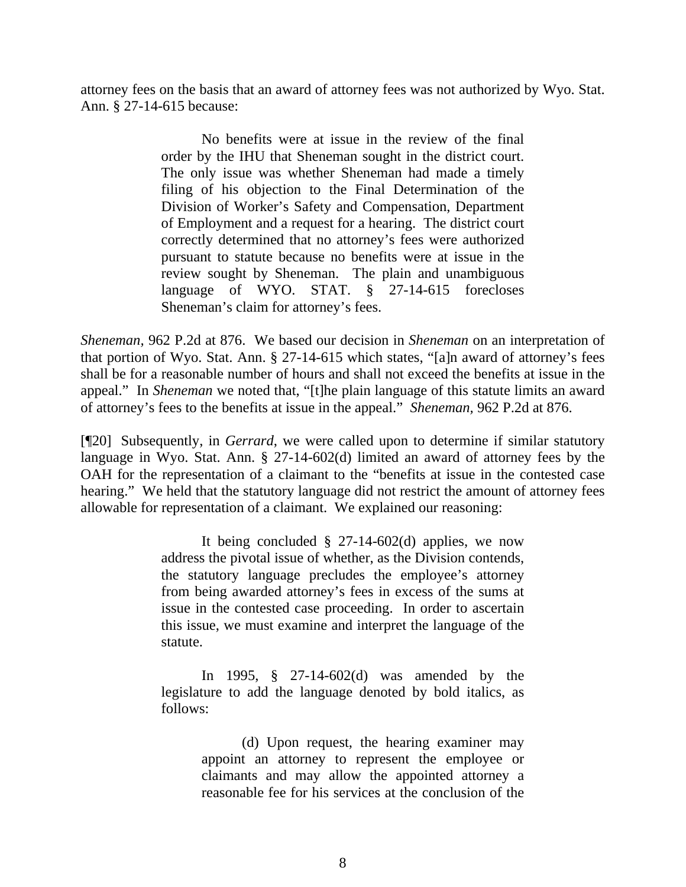attorney fees on the basis that an award of attorney fees was not authorized by Wyo. Stat. Ann. § 27-14-615 because:

> No benefits were at issue in the review of the final order by the IHU that Sheneman sought in the district court. The only issue was whether Sheneman had made a timely filing of his objection to the Final Determination of the Division of Worker's Safety and Compensation, Department of Employment and a request for a hearing. The district court correctly determined that no attorney's fees were authorized pursuant to statute because no benefits were at issue in the review sought by Sheneman. The plain and unambiguous language of WYO. STAT. § 27-14-615 forecloses Sheneman's claim for attorney's fees.

*Sheneman,* 962 P.2d at 876. We based our decision in *Sheneman* on an interpretation of that portion of Wyo. Stat. Ann. § 27-14-615 which states, "[a]n award of attorney's fees shall be for a reasonable number of hours and shall not exceed the benefits at issue in the appeal." In *Sheneman* we noted that, "[t]he plain language of this statute limits an award of attorney's fees to the benefits at issue in the appeal." *Sheneman,* 962 P.2d at 876.

[¶20] Subsequently, in *Gerrard*, we were called upon to determine if similar statutory language in Wyo. Stat. Ann. § 27-14-602(d) limited an award of attorney fees by the OAH for the representation of a claimant to the "benefits at issue in the contested case hearing." We held that the statutory language did not restrict the amount of attorney fees allowable for representation of a claimant. We explained our reasoning:

> It being concluded  $\S$  27-14-602(d) applies, we now address the pivotal issue of whether, as the Division contends, the statutory language precludes the employee's attorney from being awarded attorney's fees in excess of the sums at issue in the contested case proceeding. In order to ascertain this issue, we must examine and interpret the language of the statute.

> In 1995, § 27-14-602(d) was amended by the legislature to add the language denoted by bold italics, as follows:

> > (d) Upon request, the hearing examiner may appoint an attorney to represent the employee or claimants and may allow the appointed attorney a reasonable fee for his services at the conclusion of the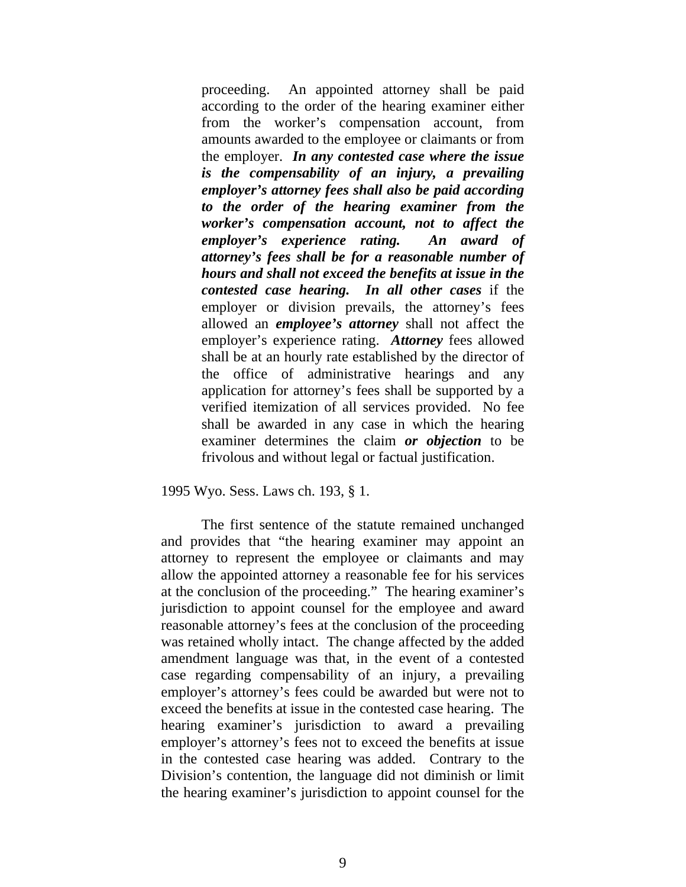proceeding. An appointed attorney shall be paid according to the order of the hearing examiner either from the worker's compensation account, from amounts awarded to the employee or claimants or from the employer. *In any contested case where the issue is the compensability of an injury, a prevailing employer's attorney fees shall also be paid according to the order of the hearing examiner from the worker's compensation account, not to affect the employer's experience rating. An award of attorney's fees shall be for a reasonable number of hours and shall not exceed the benefits at issue in the contested case hearing. In all other cases* if the employer or division prevails, the attorney's fees allowed an *employee's attorney* shall not affect the employer's experience rating. *Attorney* fees allowed shall be at an hourly rate established by the director of the office of administrative hearings and any application for attorney's fees shall be supported by a verified itemization of all services provided. No fee shall be awarded in any case in which the hearing examiner determines the claim *or objection* to be frivolous and without legal or factual justification.

199 5 Wyo. Sess. Laws ch. 193, § 1.

The first sentence of the statute remained unchanged and provides that "the hearing examiner may appoint an atto rney to represent the employee or claimants and may allo w the appointed attorney a reasonable fee for his services at th e conclusion of the proceeding." The hearing examiner's juri sdiction to appoint counsel for the employee and award reas onable attorney's fees at the conclusion of the proceeding was retained wholly intact. The change affected by the added ame ndment language was that, in the event of a contested case regarding compensability of an injury, a prevailing emp loyer's attorney's fees could be awarded but were not to exc eed the benefits at issue in the contested case hearing. The hea ring examiner's jurisdiction to award a prevailing emp loyer's attorney's fees not to exceed the benefits at issue in t he contested case hearing was added. Contrary to the Div ision's contention, the language did not diminish or limit the hearing examiner's jurisdiction to appoint counsel for the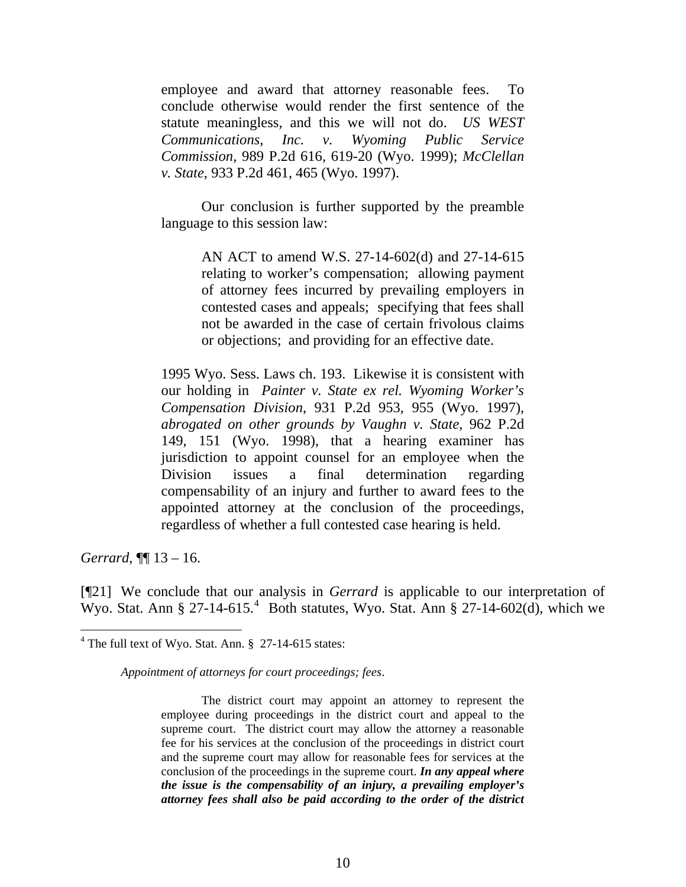emp loyee and award that attorney reasonable fees. To con clude otherwise would render the first sentence of the stat ute meaningless, and this we will not do. *US WEST Communications, Inc. v. Wyoming Public Service Com mission*, 989 P.2d 616, 619-20 (Wyo. 1999); *McClellan v. S tate*, 933 P.2d 461, 465 (Wyo. 1997).

Our conclusion is further supported by the preamble language to this session law:

> AN ACT to amend W.S. 27-14-602(d) and 27-14-615 relating to worker's compensation; allowing payment of attorney fees incurred by prevailing employers in contested cases and appeals; specifying that fees shall not be awarded in the case of certain frivolous claims or objections; and providing for an effective date.

1995 Wyo. Sess. Laws ch. 193. Likewise it is consistent with our holding in Painter v. State ex rel. Wyoming Worker's *Compensation Division*, 931 P.2d 953, 955 (Wyo. 1997), *abrogated on other grounds by Vaughn v. State*, 962 P.2d 149, 151 (Wyo. 1998), that a hearing examiner has jurisdiction to appoint counsel for an employee when the Division issues a final determination regarding compensability of an injury and further to award fees to the appointed attorney at the conclusion of the proceedings, regardless of whether a full contested case hearing is held.

*Gerrard*, ¶¶ 1 3 – 16.

 $\overline{a}$ 

[¶21] We conclude that our analysis in *Gerrard* is applicable to our interpretation of Wyo. Stat. Ann § 27-14-615.<sup>4</sup> Both statutes, Wyo. Stat. Ann § 27-14-602(d), which we

*Appointment of attorneys for court proceedings; fees*.

The district court may appoint an attorney to represent the employee during proceedings in the district court and appeal to the supreme court. The district court may allow the attorney a reasonable fee for his services at the conclusion of the proceedings in district court and the supreme court may allow for reasonable fees for services at the conclusion of the proceedings in the supreme court. *In any appeal where the issue is the compensability of an injury, a prevailing employer's attorney fees shall also be paid according to the order of the district* 

 $4$  The full text of Wyo. Stat. Ann. § 27-14-615 states: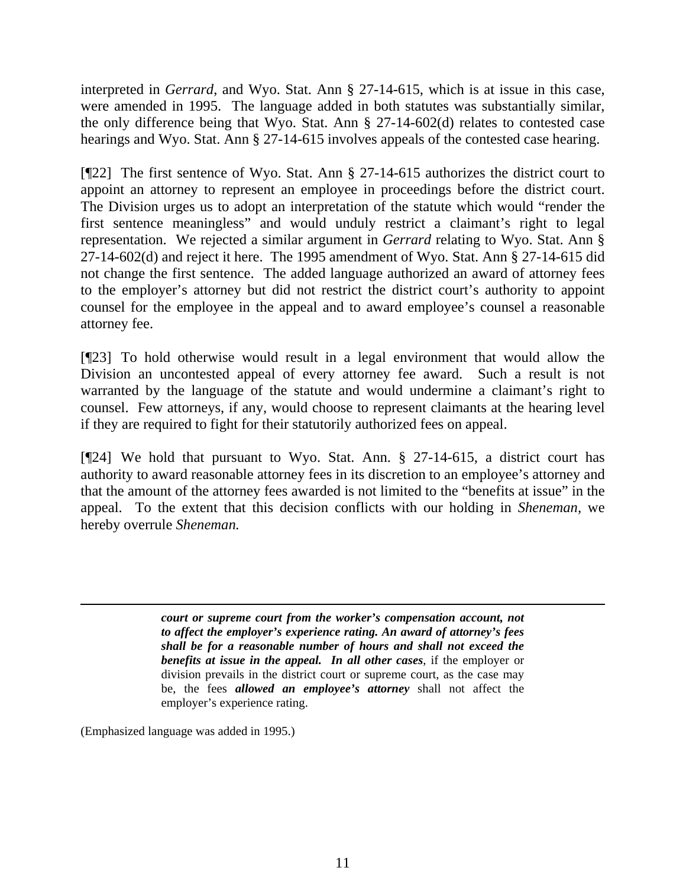interpreted in *Gerrard*, and Wyo. Stat. Ann § 27-14-615, which is at issue in this case, were amended in 1995. The language added in both statutes was substantially similar, the only difference being that Wyo. Stat. Ann § 27-14-602(d) relates to contested case hearings and Wyo. Stat. Ann § 27-14-615 involves appeals of the contested case hearing.

[¶22] The first sentence of Wyo. Stat. Ann § 27-14-615 authorizes the district court to appoint an attorney to represent an employee in proceedings before the district court. The Division urges us to adopt an interpretation of the statute which would "render the first sentence meaningless" and would unduly restrict a claimant's right to legal representation. We rejected a similar argument in *Gerrard* relating to Wyo. Stat. Ann § 27-14-602(d) and reject it here. The 1995 amendment of Wyo. Stat. Ann § 27-14-615 did not change the first sentence. The added language authorized an award of attorney fees to the employer's attorney but did not restrict the district court's authority to appoint counsel for the employee in the appeal and to award employee's counsel a reasonable attorney fee.

[¶23] To hold otherwise would result in a legal environment that would allow the Division an uncontested appeal of every attorney fee award. Such a result is not warranted by the language of the statute and would undermine a claimant's right to counsel. Few attorneys, if any, would choose to represent claimants at the hearing level if they are required to fight for their statutorily authorized fees on appeal.

[¶24] We hold that pursuant to Wyo. Stat. Ann. § 27-14-615, a district court has authority to award reasonable attorney fees in its discretion to an employee's attorney and that the amount of the attorney fees awarded is not limited to the "benefits at issue" in the appeal. To the extent that this decision conflicts with our holding in *Sheneman,* we hereby overrule *Sheneman.*

> *court or supreme court from the worker's compensation account, not to affect the employer's experience rating. An award of attorney's fees shall be for a reasonable number of hours and shall not exceed the benefits at issue in the appeal. In all other cases*, if the employer or division prevails in the district court or supreme court, as the case may be, the fees *allowed an employee's attorney* shall not affect the employer's experience rating.

(Emphasized language was added in 1995.)

 $\overline{a}$